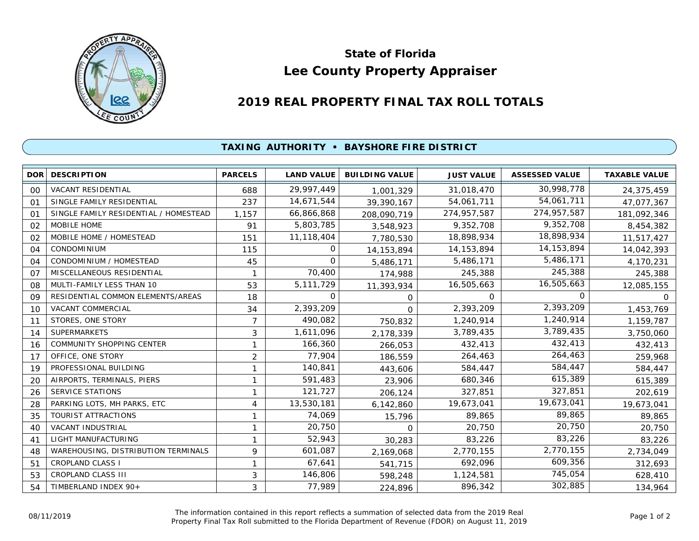

## **Lee County Property Appraiser State of Florida**

## **2019 REAL PROPERTY FINAL TAX ROLL TOTALS**

## **TAXING AUTHORITY • BAYSHORE FIRE DISTRICT**

| <b>DOR</b>     | <b>DESCRIPTION</b>                    | <b>PARCELS</b> | <b>LAND VALUE</b> | <b>BUILDING VALUE</b> | <b>JUST VALUE</b> | <b>ASSESSED VALUE</b> | <b>TAXABLE VALUE</b> |
|----------------|---------------------------------------|----------------|-------------------|-----------------------|-------------------|-----------------------|----------------------|
| 00             | <b>VACANT RESIDENTIAL</b>             | 688            | 29,997,449        | 1,001,329             | 31,018,470        | 30,998,778            | 24,375,459           |
| O <sub>1</sub> | SINGLE FAMILY RESIDENTIAL             | 237            | 14,671,544        | 39,390,167            | 54,061,711        | 54,061,711            | 47,077,367           |
| 01             | SINGLE FAMILY RESIDENTIAL / HOMESTEAD | 1,157          | 66,866,868        | 208,090,719           | 274,957,587       | 274,957,587           | 181,092,346          |
| 02             | MOBILE HOME                           | 91             | 5,803,785         | 3,548,923             | 9,352,708         | 9,352,708             | 8,454,382            |
| 02             | MOBILE HOME / HOMESTEAD               | 151            | 11,118,404        | 7,780,530             | 18,898,934        | 18,898,934            | 11,517,427           |
| 04             | <b>CONDOMINIUM</b>                    | 115            | 0                 | 14, 153, 894          | 14, 153, 894      | 14, 153, 894          | 14,042,393           |
| 04             | CONDOMINIUM / HOMESTEAD               | 45             | $\Omega$          | 5,486,171             | 5,486,171         | 5,486,171             | 4,170,231            |
| 07             | MISCELLANEOUS RESIDENTIAL             | 1              | 70,400            | 174,988               | 245,388           | 245,388               | 245,388              |
| 08             | MULTI-FAMILY LESS THAN 10             | 53             | 5,111,729         | 11,393,934            | 16,505,663        | 16,505,663            | 12,085,155           |
| 09             | RESIDENTIAL COMMON ELEMENTS/AREAS     | 18             | 0                 | 0                     | 0                 | 0                     | O.                   |
| 10             | <b>VACANT COMMERCIAL</b>              | 34             | 2,393,209         | $\Omega$              | 2,393,209         | 2,393,209             | 1,453,769            |
| 11             | STORES, ONE STORY                     | $\overline{7}$ | 490,082           | 750,832               | 1,240,914         | 1,240,914             | 1,159,787            |
| 14             | <b>SUPERMARKETS</b>                   | 3              | 1,611,096         | 2,178,339             | 3,789,435         | 3,789,435             | 3,750,060            |
| 16             | COMMUNITY SHOPPING CENTER             | 1              | 166,360           | 266,053               | 432,413           | 432,413               | 432,413              |
| 17             | OFFICE, ONE STORY                     | $\overline{2}$ | 77,904            | 186,559               | 264,463           | 264,463               | 259,968              |
| 19             | PROFESSIONAL BUILDING                 | 1              | 140,841           | 443,606               | 584,447           | 584,447               | 584,447              |
| 20             | AIRPORTS, TERMINALS, PIERS            | 1              | 591,483           | 23,906                | 680,346           | 615,389               | 615,389              |
| 26             | <b>SERVICE STATIONS</b>               | 1              | 121,727           | 206,124               | 327,851           | 327,851               | 202,619              |
| 28             | PARKING LOTS, MH PARKS, ETC           | 4              | 13,530,181        | 6,142,860             | 19,673,041        | 19,673,041            | 19,673,041           |
| 35             | <b>TOURIST ATTRACTIONS</b>            | 1              | 74,069            | 15,796                | 89,865            | 89,865                | 89,865               |
| 40             | VACANT INDUSTRIAL                     | 1              | 20,750            | 0                     | 20,750            | 20,750                | 20,750               |
| 41             | LIGHT MANUFACTURING                   | $\mathbf{1}$   | 52,943            | 30,283                | 83,226            | 83,226                | 83,226               |
| 48             | WAREHOUSING, DISTRIBUTION TERMINALS   | 9              | 601,087           | 2,169,068             | 2,770,155         | 2,770,155             | 2,734,049            |
| 51             | <b>CROPLAND CLASS I</b>               | 1              | 67,641            | 541,715               | 692,096           | 609,356               | 312,693              |
| 53             | <b>CROPLAND CLASS III</b>             | 3              | 146,806           | 598,248               | 1,124,581         | 745,054               | 628,410              |
| 54             | TIMBERLAND INDEX 90+                  | 3              | 77,989            | 224,896               | 896,342           | 302,885               | 134,964              |